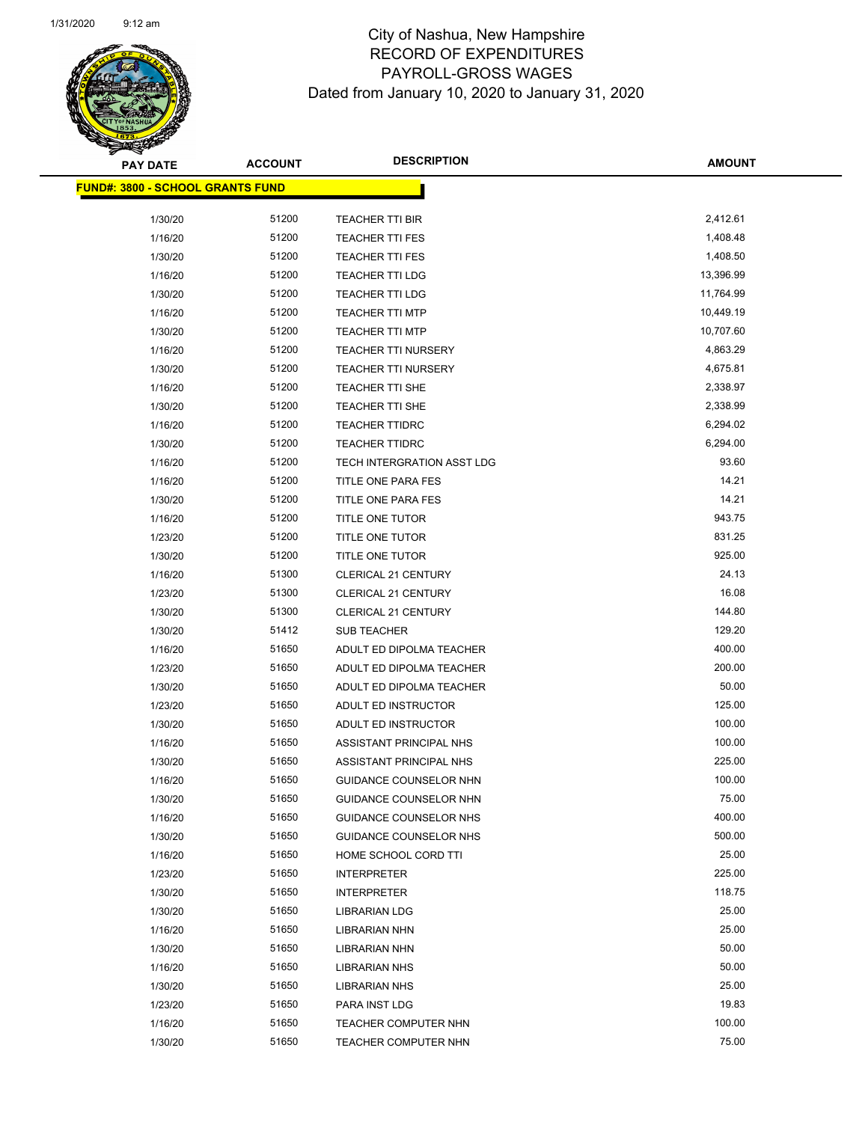| <b>PAY DATE</b>                          | <b>ACCOUNT</b> | <b>DESCRIPTION</b>            | <b>AMOUNT</b> |
|------------------------------------------|----------------|-------------------------------|---------------|
| <u> FUND#: 3800 - SCHOOL GRANTS FUND</u> |                |                               |               |
|                                          |                |                               |               |
| 1/30/20                                  | 51200          | <b>TEACHER TTI BIR</b>        | 2,412.61      |
| 1/16/20                                  | 51200          | <b>TEACHER TTI FES</b>        | 1,408.48      |
| 1/30/20                                  | 51200          | <b>TEACHER TTI FES</b>        | 1,408.50      |
| 1/16/20                                  | 51200          | <b>TEACHER TTI LDG</b>        | 13,396.99     |
| 1/30/20                                  | 51200          | TEACHER TTI LDG               | 11,764.99     |
| 1/16/20                                  | 51200          | <b>TEACHER TTI MTP</b>        | 10,449.19     |
| 1/30/20                                  | 51200          | <b>TEACHER TTI MTP</b>        | 10,707.60     |
| 1/16/20                                  | 51200          | <b>TEACHER TTI NURSERY</b>    | 4,863.29      |
| 1/30/20                                  | 51200          | <b>TEACHER TTI NURSERY</b>    | 4,675.81      |
| 1/16/20                                  | 51200          | TEACHER TTI SHE               | 2,338.97      |
| 1/30/20                                  | 51200          | TEACHER TTI SHE               | 2,338.99      |
| 1/16/20                                  | 51200          | <b>TEACHER TTIDRC</b>         | 6,294.02      |
| 1/30/20                                  | 51200          | <b>TEACHER TTIDRC</b>         | 6,294.00      |
| 1/16/20                                  | 51200          | TECH INTERGRATION ASST LDG    | 93.60         |
| 1/16/20                                  | 51200          | TITLE ONE PARA FES            | 14.21         |
| 1/30/20                                  | 51200          | TITLE ONE PARA FES            | 14.21         |
| 1/16/20                                  | 51200          | TITLE ONE TUTOR               | 943.75        |
| 1/23/20                                  | 51200          | TITLE ONE TUTOR               | 831.25        |
| 1/30/20                                  | 51200          | TITLE ONE TUTOR               | 925.00        |
| 1/16/20                                  | 51300          | <b>CLERICAL 21 CENTURY</b>    | 24.13         |
| 1/23/20                                  | 51300          | <b>CLERICAL 21 CENTURY</b>    | 16.08         |
| 1/30/20                                  | 51300          | <b>CLERICAL 21 CENTURY</b>    | 144.80        |
| 1/30/20                                  | 51412          | <b>SUB TEACHER</b>            | 129.20        |
| 1/16/20                                  | 51650          | ADULT ED DIPOLMA TEACHER      | 400.00        |
| 1/23/20                                  | 51650          | ADULT ED DIPOLMA TEACHER      | 200.00        |
| 1/30/20                                  | 51650          | ADULT ED DIPOLMA TEACHER      | 50.00         |
| 1/23/20                                  | 51650          | ADULT ED INSTRUCTOR           | 125.00        |
| 1/30/20                                  | 51650          | ADULT ED INSTRUCTOR           | 100.00        |
| 1/16/20                                  | 51650          | ASSISTANT PRINCIPAL NHS       | 100.00        |
| 1/30/20                                  | 51650          | ASSISTANT PRINCIPAL NHS       | 225.00        |
| 1/16/20                                  | 51650          | <b>GUIDANCE COUNSELOR NHN</b> | 100.00        |
| 1/30/20                                  | 51650          | GUIDANCE COUNSELOR NHN        | 75.00         |
| 1/16/20                                  | 51650          | GUIDANCE COUNSELOR NHS        | 400.00        |
| 1/30/20                                  | 51650          | <b>GUIDANCE COUNSELOR NHS</b> | 500.00        |
| 1/16/20                                  | 51650          | HOME SCHOOL CORD TTI          | 25.00         |
| 1/23/20                                  | 51650          | <b>INTERPRETER</b>            | 225.00        |
| 1/30/20                                  | 51650          | <b>INTERPRETER</b>            | 118.75        |
| 1/30/20                                  | 51650          | <b>LIBRARIAN LDG</b>          | 25.00         |
| 1/16/20                                  | 51650          | <b>LIBRARIAN NHN</b>          | 25.00         |
| 1/30/20                                  | 51650          | <b>LIBRARIAN NHN</b>          | 50.00         |
| 1/16/20                                  | 51650          | <b>LIBRARIAN NHS</b>          | 50.00         |
| 1/30/20                                  | 51650          | <b>LIBRARIAN NHS</b>          | 25.00         |
| 1/23/20                                  | 51650          | PARA INST LDG                 | 19.83         |
| 1/16/20                                  | 51650          | <b>TEACHER COMPUTER NHN</b>   | 100.00        |
| 1/30/20                                  | 51650          | <b>TEACHER COMPUTER NHN</b>   | 75.00         |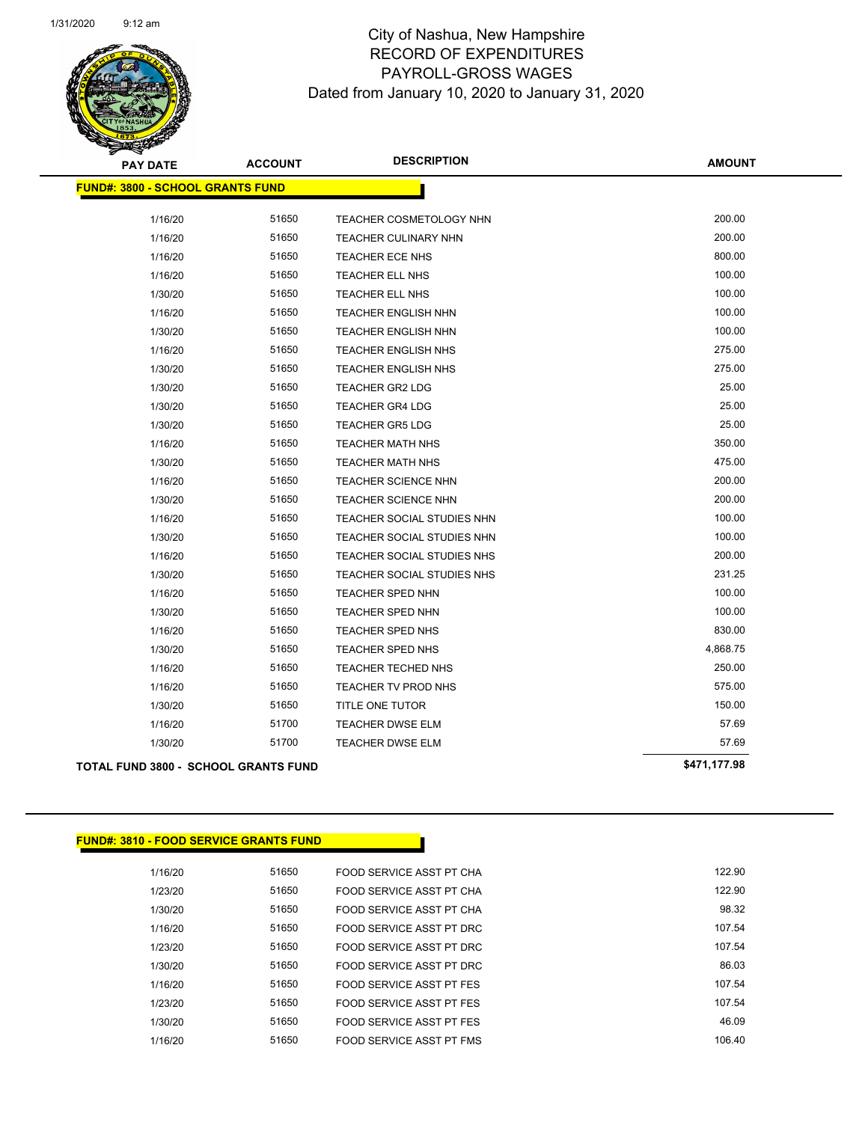

| <b>PAY DATE</b>                         | <b>ACCOUNT</b> | <b>DESCRIPTION</b>         | <b>AMOUNT</b> |
|-----------------------------------------|----------------|----------------------------|---------------|
| <b>FUND#: 3800 - SCHOOL GRANTS FUND</b> |                |                            |               |
| 1/16/20                                 | 51650          | TEACHER COSMETOLOGY NHN    | 200.00        |
| 1/16/20                                 | 51650          | TEACHER CULINARY NHN       | 200.00        |
| 1/16/20                                 | 51650          | <b>TEACHER ECE NHS</b>     | 800.00        |
| 1/16/20                                 | 51650          | TEACHER ELL NHS            | 100.00        |
| 1/30/20                                 | 51650          | TEACHER ELL NHS            | 100.00        |
| 1/16/20                                 | 51650          | TEACHER ENGLISH NHN        | 100.00        |
| 1/30/20                                 | 51650          | TEACHER ENGLISH NHN        | 100.00        |
| 1/16/20                                 | 51650          | TEACHER ENGLISH NHS        | 275.00        |
| 1/30/20                                 | 51650          | TEACHER ENGLISH NHS        | 275.00        |
| 1/30/20                                 | 51650          | <b>TEACHER GR2 LDG</b>     | 25.00         |
| 1/30/20                                 | 51650          | <b>TEACHER GR4 LDG</b>     | 25.00         |
| 1/30/20                                 | 51650          | <b>TEACHER GR5 LDG</b>     | 25.00         |
| 1/16/20                                 | 51650          | <b>TEACHER MATH NHS</b>    | 350.00        |
| 1/30/20                                 | 51650          | <b>TEACHER MATH NHS</b>    | 475.00        |
| 1/16/20                                 | 51650          | <b>TEACHER SCIENCE NHN</b> | 200.00        |
| 1/30/20                                 | 51650          | <b>TEACHER SCIENCE NHN</b> | 200.00        |
| 1/16/20                                 | 51650          | TEACHER SOCIAL STUDIES NHN | 100.00        |
| 1/30/20                                 | 51650          | TEACHER SOCIAL STUDIES NHN | 100.00        |
| 1/16/20                                 | 51650          | TEACHER SOCIAL STUDIES NHS | 200.00        |
| 1/30/20                                 | 51650          | TEACHER SOCIAL STUDIES NHS | 231.25        |
| 1/16/20                                 | 51650          | <b>TEACHER SPED NHN</b>    | 100.00        |
| 1/30/20                                 | 51650          | <b>TEACHER SPED NHN</b>    | 100.00        |
| 1/16/20                                 | 51650          | TEACHER SPED NHS           | 830.00        |
| 1/30/20                                 | 51650          | <b>TEACHER SPED NHS</b>    | 4,868.75      |
| 1/16/20                                 | 51650          | TEACHER TECHED NHS         | 250.00        |
| 1/16/20                                 | 51650          | TEACHER TV PROD NHS        | 575.00        |
| 1/30/20                                 | 51650          | TITLE ONE TUTOR            | 150.00        |
| 1/16/20                                 | 51700          | TEACHER DWSE ELM           | 57.69         |
| 1/30/20                                 | 51700          | <b>TEACHER DWSE ELM</b>    | 57.69         |
| TOTAL FUND 3800 - SCHOOL GRANTS FUND    |                |                            | \$471,177.98  |

| <u> FUND#: 3810 - FOOD SERVICE GRANTS FUND</u> |  |
|------------------------------------------------|--|
|------------------------------------------------|--|

| 122.90 | FOOD SERVICE ASST PT CHA | 51650 | 1/16/20 |
|--------|--------------------------|-------|---------|
| 122.90 | FOOD SERVICE ASST PT CHA | 51650 | 1/23/20 |
| 98.32  | FOOD SERVICE ASST PT CHA | 51650 | 1/30/20 |
| 107.54 | FOOD SERVICE ASST PT DRC | 51650 | 1/16/20 |
| 107.54 | FOOD SERVICE ASST PT DRC | 51650 | 1/23/20 |
| 86.03  | FOOD SERVICE ASST PT DRC | 51650 | 1/30/20 |
| 107.54 | FOOD SERVICE ASST PT FES | 51650 | 1/16/20 |
| 107.54 | FOOD SERVICE ASST PT FES | 51650 | 1/23/20 |
| 46.09  | FOOD SERVICE ASST PT FES | 51650 | 1/30/20 |
| 106.40 | FOOD SERVICE ASST PT FMS | 51650 | 1/16/20 |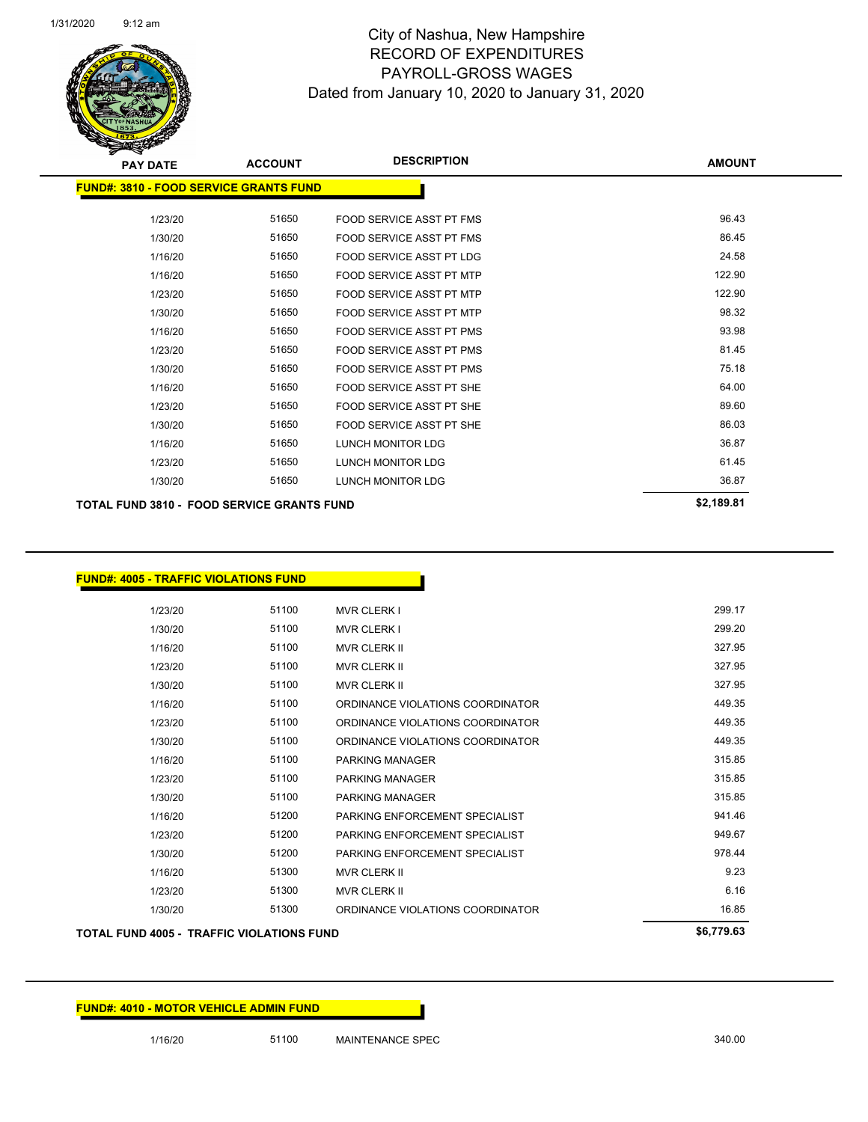

| <b>PAY DATE</b>                                   | <b>ACCOUNT</b> | <b>DESCRIPTION</b>              | <b>AMOUNT</b> |
|---------------------------------------------------|----------------|---------------------------------|---------------|
| <b>FUND#: 3810 - FOOD SERVICE GRANTS FUND</b>     |                |                                 |               |
| 1/23/20                                           | 51650          | <b>FOOD SERVICE ASST PT FMS</b> | 96.43         |
| 1/30/20                                           | 51650          | FOOD SERVICE ASST PT FMS        | 86.45         |
| 1/16/20                                           | 51650          | <b>FOOD SERVICE ASST PT LDG</b> | 24.58         |
| 1/16/20                                           | 51650          | <b>FOOD SERVICE ASST PT MTP</b> | 122.90        |
| 1/23/20                                           | 51650          | <b>FOOD SERVICE ASST PT MTP</b> | 122.90        |
| 1/30/20                                           | 51650          | <b>FOOD SERVICE ASST PT MTP</b> | 98.32         |
| 1/16/20                                           | 51650          | <b>FOOD SERVICE ASST PT PMS</b> | 93.98         |
| 1/23/20                                           | 51650          | <b>FOOD SERVICE ASST PT PMS</b> | 81.45         |
| 1/30/20                                           | 51650          | FOOD SERVICE ASST PT PMS        | 75.18         |
| 1/16/20                                           | 51650          | FOOD SERVICE ASST PT SHE        | 64.00         |
| 1/23/20                                           | 51650          | FOOD SERVICE ASST PT SHE        | 89.60         |
| 1/30/20                                           | 51650          | FOOD SERVICE ASST PT SHE        | 86.03         |
| 1/16/20                                           | 51650          | <b>LUNCH MONITOR LDG</b>        | 36.87         |
| 1/23/20                                           | 51650          | <b>LUNCH MONITOR LDG</b>        | 61.45         |
| 1/30/20                                           | 51650          | <b>LUNCH MONITOR LDG</b>        | 36.87         |
| <b>TOTAL FUND 3810 - FOOD SERVICE GRANTS FUND</b> |                |                                 | \$2,189.81    |

| 1/23/20 | 51100 | <b>MVR CLERK I</b>               | 299.17 |
|---------|-------|----------------------------------|--------|
| 1/30/20 | 51100 | <b>MVR CLERK I</b>               | 299.20 |
| 1/16/20 | 51100 | <b>MVR CLERK II</b>              | 327.95 |
| 1/23/20 | 51100 | <b>MVR CLERK II</b>              | 327.95 |
| 1/30/20 | 51100 | <b>MVR CLERK II</b>              | 327.95 |
| 1/16/20 | 51100 | ORDINANCE VIOLATIONS COORDINATOR | 449.35 |
| 1/23/20 | 51100 | ORDINANCE VIOLATIONS COORDINATOR | 449.35 |
| 1/30/20 | 51100 | ORDINANCE VIOLATIONS COORDINATOR | 449.35 |
| 1/16/20 | 51100 | <b>PARKING MANAGER</b>           | 315.85 |
| 1/23/20 | 51100 | <b>PARKING MANAGER</b>           | 315.85 |
| 1/30/20 | 51100 | <b>PARKING MANAGER</b>           | 315.85 |
| 1/16/20 | 51200 | PARKING ENFORCEMENT SPECIALIST   | 941.46 |
| 1/23/20 | 51200 | PARKING ENFORCEMENT SPECIALIST   | 949.67 |
| 1/30/20 | 51200 | PARKING ENFORCEMENT SPECIALIST   | 978.44 |
| 1/16/20 | 51300 | <b>MVR CLERK II</b>              | 9.23   |
| 1/23/20 | 51300 | <b>MVR CLERK II</b>              | 6.16   |
| 1/30/20 | 51300 | ORDINANCE VIOLATIONS COORDINATOR | 16.85  |

Π

## **TOTAL FUND 4005 - TRAFFIC VIOLATIONS FUND \$6,779.63**

**FUND#: 4005 - TRAFFIC VIOLATIONS FUND**

| <b>TOTAL FUND 4005 - TRAFFIC VIOLATIONS FUND</b> |  |  |
|--------------------------------------------------|--|--|
|                                                  |  |  |

1/16/20 51100 MAINTENANCE SPEC 340.00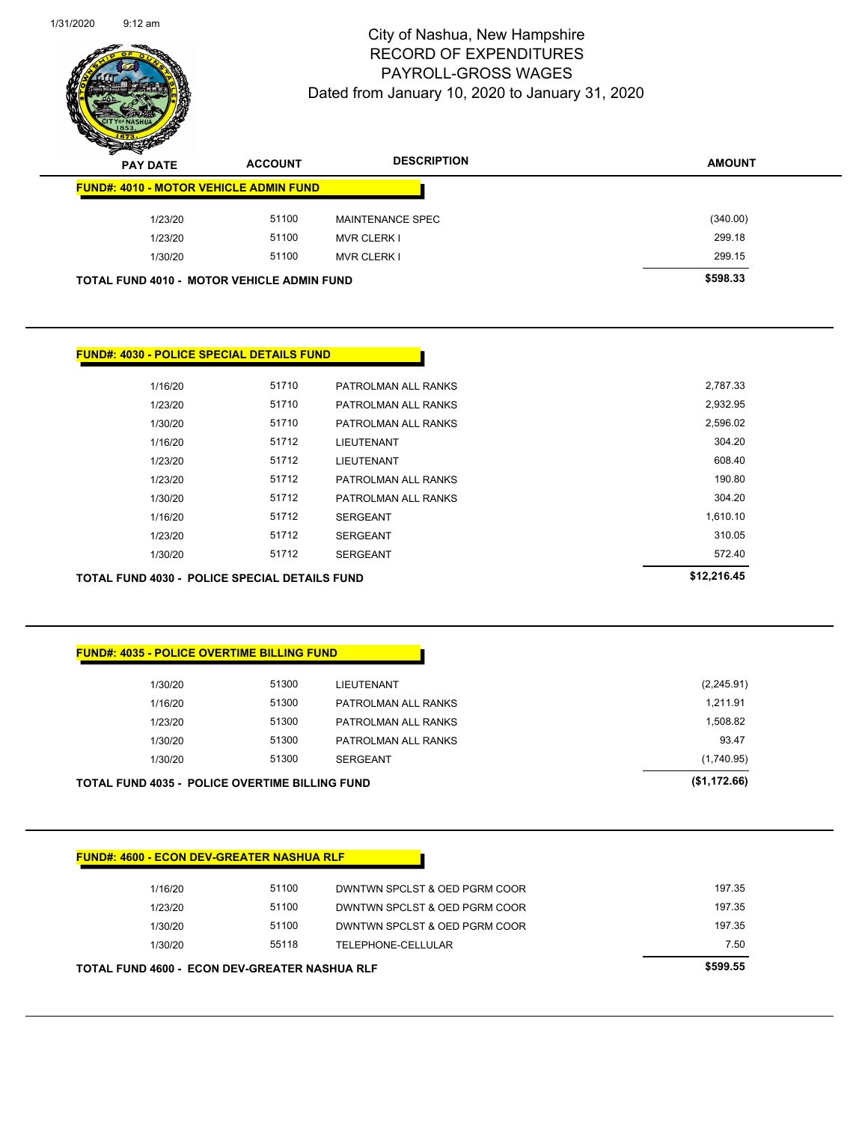

| $\boldsymbol{z}$ | -<br><b>PAY DATE</b>                              | <b>ACCOUNT</b> | <b>DESCRIPTION</b>      | <b>AMOUNT</b> |
|------------------|---------------------------------------------------|----------------|-------------------------|---------------|
|                  | <b>FUND#: 4010 - MOTOR VEHICLE ADMIN FUND</b>     |                |                         |               |
|                  | 1/23/20                                           | 51100          | <b>MAINTENANCE SPEC</b> | (340.00)      |
|                  | 1/23/20                                           | 51100          | <b>MVR CLERK I</b>      | 299.18        |
|                  | 1/30/20                                           | 51100          | <b>MVR CLERK I</b>      | 299.15        |
|                  | <b>TOTAL FUND 4010 - MOTOR VEHICLE ADMIN FUND</b> |                |                         | \$598.33      |

|             |                     |       | <b>FUND#: 4030 - POLICE SPECIAL DETAILS FUND</b> |
|-------------|---------------------|-------|--------------------------------------------------|
| 2,787.33    | PATROLMAN ALL RANKS | 51710 | 1/16/20                                          |
| 2,932.95    | PATROLMAN ALL RANKS | 51710 | 1/23/20                                          |
| 2,596.02    | PATROLMAN ALL RANKS | 51710 | 1/30/20                                          |
| 304.20      | LIEUTENANT          | 51712 | 1/16/20                                          |
| 608.40      | <b>LIEUTENANT</b>   | 51712 | 1/23/20                                          |
| 190.80      | PATROLMAN ALL RANKS | 51712 | 1/23/20                                          |
| 304.20      | PATROLMAN ALL RANKS | 51712 | 1/30/20                                          |
| 1,610.10    | <b>SERGEANT</b>     | 51712 | 1/16/20                                          |
| 310.05      | <b>SERGEANT</b>     | 51712 | 1/23/20                                          |
| 572.40      | <b>SERGEANT</b>     | 51712 | 1/30/20                                          |
| \$12,216.45 |                     |       | TOTAL FUND 4030 - POLICE SPECIAL DETAILS FUND    |

|              | <b>FUND#: 4035 - POLICE OVERTIME BILLING FUND</b> |       |                                                       |  |  |
|--------------|---------------------------------------------------|-------|-------------------------------------------------------|--|--|
| (2,245.91)   | LIEUTENANT                                        | 51300 | 1/30/20                                               |  |  |
| 1,211.91     | PATROLMAN ALL RANKS                               | 51300 | 1/16/20                                               |  |  |
| 1,508.82     | PATROLMAN ALL RANKS                               | 51300 | 1/23/20                                               |  |  |
| 93.47        | PATROLMAN ALL RANKS                               | 51300 | 1/30/20                                               |  |  |
| (1,740.95)   | <b>SERGEANT</b>                                   | 51300 | 1/30/20                                               |  |  |
| (\$1,172.66) |                                                   |       | <b>TOTAL FUND 4035 - POLICE OVERTIME BILLING FUND</b> |  |  |

|  | <b>FUND#: 4600 - ECON DEV-GREATER NASHUA RLF</b> |  |
|--|--------------------------------------------------|--|

| <b>TOTAL FUND 4600 - ECON DEV-GREATER NASHUA RLF</b> |       |                               |        |
|------------------------------------------------------|-------|-------------------------------|--------|
| 1/30/20                                              | 55118 | TELEPHONE-CELLULAR            | 7.50   |
| 1/30/20                                              | 51100 | DWNTWN SPCLST & OED PGRM COOR | 197.35 |
| 1/23/20                                              | 51100 | DWNTWN SPCLST & OED PGRM COOR | 197.35 |
| 1/16/20                                              | 51100 | DWNTWN SPCLST & OED PGRM COOR | 197.35 |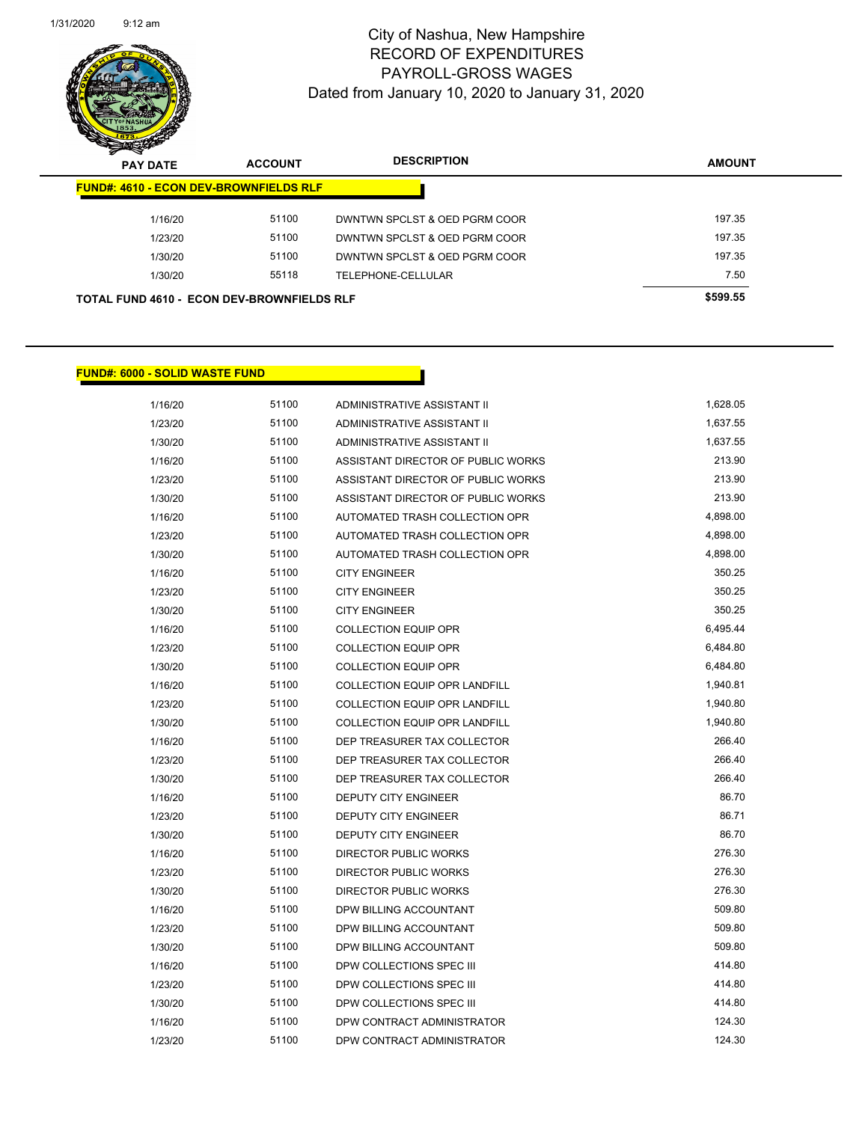

| $\boldsymbol{z}$<br>$\sim$<br><b>PAY DATE</b> | <b>ACCOUNT</b>                                    | <b>DESCRIPTION</b>            | <b>AMOUNT</b> |
|-----------------------------------------------|---------------------------------------------------|-------------------------------|---------------|
| <b>FUND#: 4610 - ECON DEV-BROWNFIELDS RLF</b> |                                                   |                               |               |
| 1/16/20                                       | 51100                                             | DWNTWN SPCLST & OED PGRM COOR | 197.35        |
| 1/23/20                                       | 51100                                             | DWNTWN SPCLST & OED PGRM COOR | 197.35        |
| 1/30/20                                       | 51100                                             | DWNTWN SPCLST & OED PGRM COOR | 197.35        |
| 1/30/20                                       | 55118                                             | TELEPHONE-CELLULAR            | 7.50          |
|                                               | <b>TOTAL FUND 4610 - ECON DEV-BROWNFIELDS RLF</b> |                               | \$599.55      |

## **FUND#: 6000 - SOLID WASTE FUND**

| 1/16/20 | 51100 | <b>ADMINISTRATIVE ASSISTANT II</b>   | 1,628.05 |
|---------|-------|--------------------------------------|----------|
| 1/23/20 | 51100 | <b>ADMINISTRATIVE ASSISTANT II</b>   | 1,637.55 |
| 1/30/20 | 51100 | ADMINISTRATIVE ASSISTANT II          | 1,637.55 |
| 1/16/20 | 51100 | ASSISTANT DIRECTOR OF PUBLIC WORKS   | 213.90   |
| 1/23/20 | 51100 | ASSISTANT DIRECTOR OF PUBLIC WORKS   | 213.90   |
| 1/30/20 | 51100 | ASSISTANT DIRECTOR OF PUBLIC WORKS   | 213.90   |
| 1/16/20 | 51100 | AUTOMATED TRASH COLLECTION OPR       | 4,898.00 |
| 1/23/20 | 51100 | AUTOMATED TRASH COLLECTION OPR       | 4,898.00 |
| 1/30/20 | 51100 | AUTOMATED TRASH COLLECTION OPR       | 4,898.00 |
| 1/16/20 | 51100 | <b>CITY ENGINEER</b>                 | 350.25   |
| 1/23/20 | 51100 | <b>CITY ENGINEER</b>                 | 350.25   |
| 1/30/20 | 51100 | <b>CITY ENGINEER</b>                 | 350.25   |
| 1/16/20 | 51100 | <b>COLLECTION EQUIP OPR</b>          | 6,495.44 |
| 1/23/20 | 51100 | <b>COLLECTION EQUIP OPR</b>          | 6,484.80 |
| 1/30/20 | 51100 | <b>COLLECTION EQUIP OPR</b>          | 6,484.80 |
| 1/16/20 | 51100 | <b>COLLECTION EQUIP OPR LANDFILL</b> | 1,940.81 |
| 1/23/20 | 51100 | COLLECTION EQUIP OPR LANDFILL        | 1,940.80 |
| 1/30/20 | 51100 | COLLECTION EQUIP OPR LANDFILL        | 1,940.80 |
| 1/16/20 | 51100 | DEP TREASURER TAX COLLECTOR          | 266.40   |
| 1/23/20 | 51100 | DEP TREASURER TAX COLLECTOR          | 266.40   |
| 1/30/20 | 51100 | DEP TREASURER TAX COLLECTOR          | 266.40   |
| 1/16/20 | 51100 | <b>DEPUTY CITY ENGINEER</b>          | 86.70    |
| 1/23/20 | 51100 | <b>DEPUTY CITY ENGINEER</b>          | 86.71    |
| 1/30/20 | 51100 | <b>DEPUTY CITY ENGINEER</b>          | 86.70    |
| 1/16/20 | 51100 | <b>DIRECTOR PUBLIC WORKS</b>         | 276.30   |
| 1/23/20 | 51100 | <b>DIRECTOR PUBLIC WORKS</b>         | 276.30   |
| 1/30/20 | 51100 | <b>DIRECTOR PUBLIC WORKS</b>         | 276.30   |
| 1/16/20 | 51100 | DPW BILLING ACCOUNTANT               | 509.80   |
| 1/23/20 | 51100 | DPW BILLING ACCOUNTANT               | 509.80   |
| 1/30/20 | 51100 | DPW BILLING ACCOUNTANT               | 509.80   |
| 1/16/20 | 51100 | DPW COLLECTIONS SPEC III             | 414.80   |
| 1/23/20 | 51100 | DPW COLLECTIONS SPEC III             | 414.80   |
| 1/30/20 | 51100 | DPW COLLECTIONS SPEC III             | 414.80   |
| 1/16/20 | 51100 | DPW CONTRACT ADMINISTRATOR           | 124.30   |
| 1/23/20 | 51100 | DPW CONTRACT ADMINISTRATOR           | 124.30   |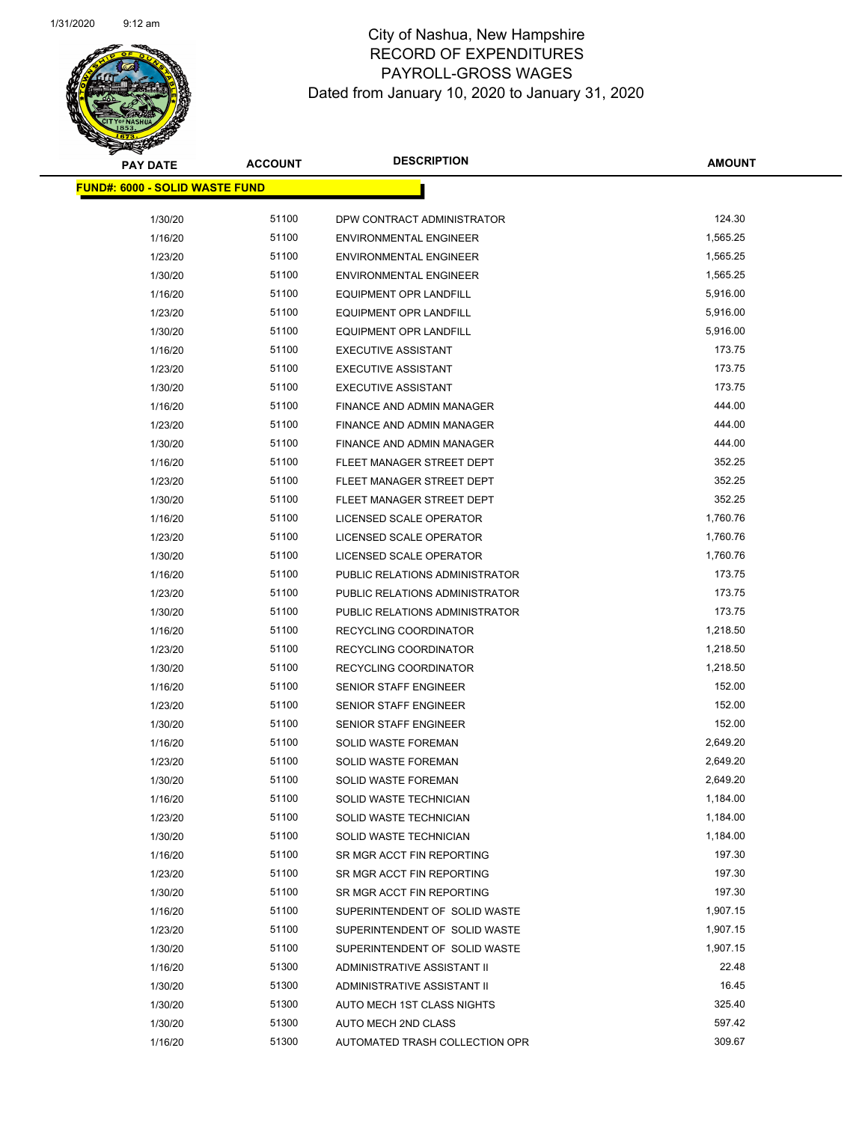

| <b>PAY DATE</b>                        | <b>ACCOUNT</b> | <b>DESCRIPTION</b>               | <b>AMOUNT</b> |
|----------------------------------------|----------------|----------------------------------|---------------|
| <u> FUND#: 6000 - SOLID WASTE FUND</u> |                |                                  |               |
| 1/30/20                                | 51100          | DPW CONTRACT ADMINISTRATOR       | 124.30        |
| 1/16/20                                | 51100          | <b>ENVIRONMENTAL ENGINEER</b>    | 1,565.25      |
| 1/23/20                                | 51100          | <b>ENVIRONMENTAL ENGINEER</b>    | 1,565.25      |
| 1/30/20                                | 51100          | <b>ENVIRONMENTAL ENGINEER</b>    | 1,565.25      |
| 1/16/20                                | 51100          | <b>EQUIPMENT OPR LANDFILL</b>    | 5,916.00      |
| 1/23/20                                | 51100          | <b>EQUIPMENT OPR LANDFILL</b>    | 5,916.00      |
| 1/30/20                                | 51100          | <b>EQUIPMENT OPR LANDFILL</b>    | 5,916.00      |
| 1/16/20                                | 51100          | <b>EXECUTIVE ASSISTANT</b>       | 173.75        |
| 1/23/20                                | 51100          | <b>EXECUTIVE ASSISTANT</b>       | 173.75        |
| 1/30/20                                | 51100          | <b>EXECUTIVE ASSISTANT</b>       | 173.75        |
| 1/16/20                                | 51100          | FINANCE AND ADMIN MANAGER        | 444.00        |
| 1/23/20                                | 51100          | FINANCE AND ADMIN MANAGER        | 444.00        |
| 1/30/20                                | 51100          | <b>FINANCE AND ADMIN MANAGER</b> | 444.00        |
| 1/16/20                                | 51100          | FLEET MANAGER STREET DEPT        | 352.25        |
| 1/23/20                                | 51100          | FLEET MANAGER STREET DEPT        | 352.25        |
| 1/30/20                                | 51100          | FLEET MANAGER STREET DEPT        | 352.25        |
| 1/16/20                                | 51100          | LICENSED SCALE OPERATOR          | 1,760.76      |
| 1/23/20                                | 51100          | LICENSED SCALE OPERATOR          | 1,760.76      |
| 1/30/20                                | 51100          | LICENSED SCALE OPERATOR          | 1,760.76      |
| 1/16/20                                | 51100          | PUBLIC RELATIONS ADMINISTRATOR   | 173.75        |
| 1/23/20                                | 51100          | PUBLIC RELATIONS ADMINISTRATOR   | 173.75        |
| 1/30/20                                | 51100          | PUBLIC RELATIONS ADMINISTRATOR   | 173.75        |
| 1/16/20                                | 51100          | RECYCLING COORDINATOR            | 1,218.50      |
| 1/23/20                                | 51100          | RECYCLING COORDINATOR            | 1,218.50      |
| 1/30/20                                | 51100          | RECYCLING COORDINATOR            | 1,218.50      |
| 1/16/20                                | 51100          | SENIOR STAFF ENGINEER            | 152.00        |
| 1/23/20                                | 51100          | <b>SENIOR STAFF ENGINEER</b>     | 152.00        |
| 1/30/20                                | 51100          | <b>SENIOR STAFF ENGINEER</b>     | 152.00        |
| 1/16/20                                | 51100          | SOLID WASTE FOREMAN              | 2,649.20      |
| 1/23/20                                | 51100          | SOLID WASTE FOREMAN              | 2,649.20      |
| 1/30/20                                | 51100          | <b>SOLID WASTE FOREMAN</b>       | 2,649.20      |
| 1/16/20                                | 51100          | SOLID WASTE TECHNICIAN           | 1,184.00      |
| 1/23/20                                | 51100          | SOLID WASTE TECHNICIAN           | 1,184.00      |
| 1/30/20                                | 51100          | SOLID WASTE TECHNICIAN           | 1,184.00      |
| 1/16/20                                | 51100          | SR MGR ACCT FIN REPORTING        | 197.30        |
| 1/23/20                                | 51100          | SR MGR ACCT FIN REPORTING        | 197.30        |
| 1/30/20                                | 51100          | SR MGR ACCT FIN REPORTING        | 197.30        |
| 1/16/20                                | 51100          | SUPERINTENDENT OF SOLID WASTE    | 1,907.15      |
| 1/23/20                                | 51100          | SUPERINTENDENT OF SOLID WASTE    | 1,907.15      |
| 1/30/20                                | 51100          | SUPERINTENDENT OF SOLID WASTE    | 1,907.15      |
| 1/16/20                                | 51300          | ADMINISTRATIVE ASSISTANT II      | 22.48         |
| 1/30/20                                | 51300          | ADMINISTRATIVE ASSISTANT II      | 16.45         |
| 1/30/20                                | 51300          | AUTO MECH 1ST CLASS NIGHTS       | 325.40        |
| 1/30/20                                | 51300          | AUTO MECH 2ND CLASS              | 597.42        |
| 1/16/20                                | 51300          | AUTOMATED TRASH COLLECTION OPR   | 309.67        |
|                                        |                |                                  |               |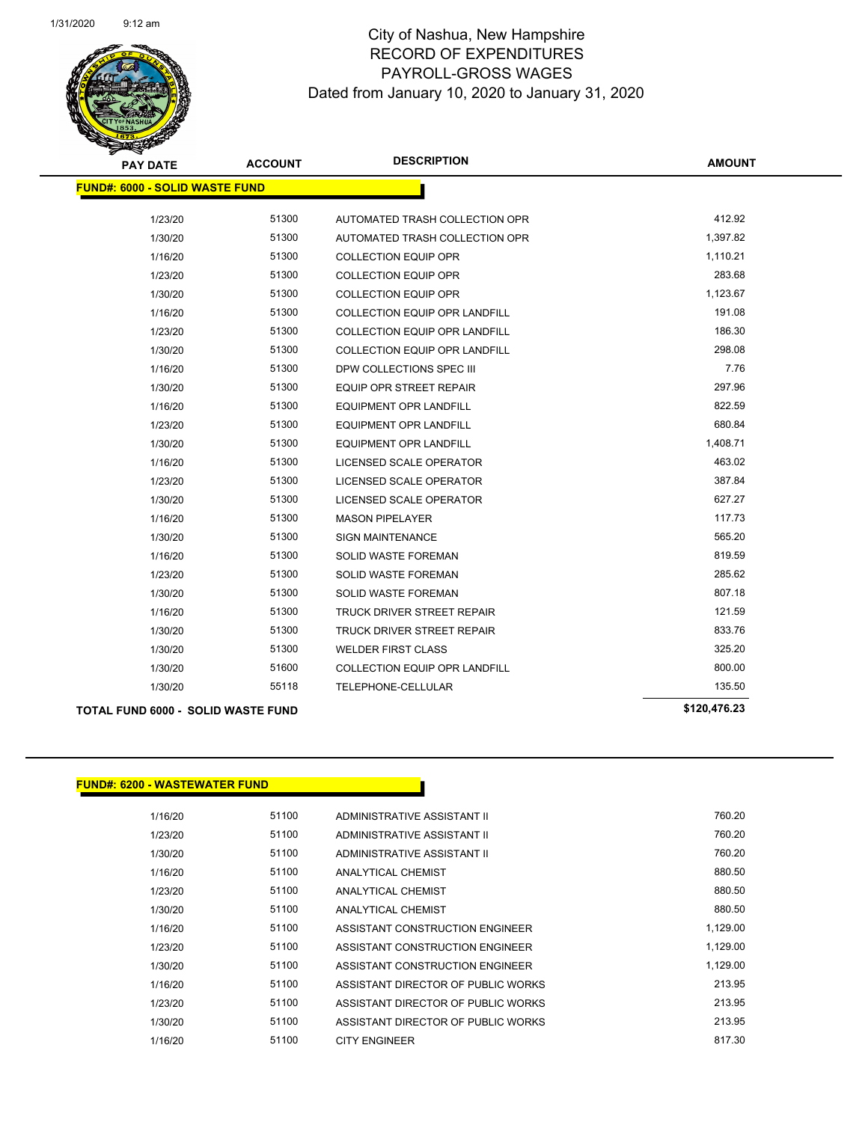

| <b>PAY DATE</b>                       | <b>ACCOUNT</b> | <b>DESCRIPTION</b>                   | <b>AMOUNT</b> |
|---------------------------------------|----------------|--------------------------------------|---------------|
| <b>FUND#: 6000 - SOLID WASTE FUND</b> |                |                                      |               |
| 1/23/20                               | 51300          | AUTOMATED TRASH COLLECTION OPR       | 412.92        |
| 1/30/20                               | 51300          | AUTOMATED TRASH COLLECTION OPR       | 1,397.82      |
| 1/16/20                               | 51300          | <b>COLLECTION EQUIP OPR</b>          | 1,110.21      |
| 1/23/20                               | 51300          | <b>COLLECTION EQUIP OPR</b>          | 283.68        |
| 1/30/20                               | 51300          | <b>COLLECTION EQUIP OPR</b>          | 1,123.67      |
| 1/16/20                               | 51300          | <b>COLLECTION EQUIP OPR LANDFILL</b> | 191.08        |
| 1/23/20                               | 51300          | <b>COLLECTION EQUIP OPR LANDFILL</b> | 186.30        |
| 1/30/20                               | 51300          | <b>COLLECTION EQUIP OPR LANDFILL</b> | 298.08        |
| 1/16/20                               | 51300          | DPW COLLECTIONS SPEC III             | 7.76          |
| 1/30/20                               | 51300          | <b>EQUIP OPR STREET REPAIR</b>       | 297.96        |
| 1/16/20                               | 51300          | <b>EQUIPMENT OPR LANDFILL</b>        | 822.59        |
| 1/23/20                               | 51300          | <b>EQUIPMENT OPR LANDFILL</b>        | 680.84        |
| 1/30/20                               | 51300          | <b>EQUIPMENT OPR LANDFILL</b>        | 1,408.71      |
| 1/16/20                               | 51300          | LICENSED SCALE OPERATOR              | 463.02        |
| 1/23/20                               | 51300          | LICENSED SCALE OPERATOR              | 387.84        |
| 1/30/20                               | 51300          | LICENSED SCALE OPERATOR              | 627.27        |
| 1/16/20                               | 51300          | <b>MASON PIPELAYER</b>               | 117.73        |
| 1/30/20                               | 51300          | <b>SIGN MAINTENANCE</b>              | 565.20        |
| 1/16/20                               | 51300          | <b>SOLID WASTE FOREMAN</b>           | 819.59        |
| 1/23/20                               | 51300          | <b>SOLID WASTE FOREMAN</b>           | 285.62        |
| 1/30/20                               | 51300          | <b>SOLID WASTE FOREMAN</b>           | 807.18        |
| 1/16/20                               | 51300          | TRUCK DRIVER STREET REPAIR           | 121.59        |
| 1/30/20                               | 51300          | <b>TRUCK DRIVER STREET REPAIR</b>    | 833.76        |
| 1/30/20                               | 51300          | <b>WELDER FIRST CLASS</b>            | 325.20        |
| 1/30/20                               | 51600          | <b>COLLECTION EQUIP OPR LANDFILL</b> | 800.00        |
| 1/30/20                               | 55118          | TELEPHONE-CELLULAR                   | 135.50        |
| TOTAL FUND 6000 - SOLID WASTE FUND    |                |                                      | \$120,476.23  |

## **FUND#: 6200 - WASTEWATER FUND**

| 1/16/20 | 51100 | ADMINISTRATIVE ASSISTANT II        | 760.20   |
|---------|-------|------------------------------------|----------|
| 1/23/20 | 51100 | ADMINISTRATIVE ASSISTANT II        | 760.20   |
| 1/30/20 | 51100 | ADMINISTRATIVE ASSISTANT II        | 760.20   |
| 1/16/20 | 51100 | ANALYTICAL CHEMIST                 | 880.50   |
| 1/23/20 | 51100 | ANALYTICAL CHEMIST                 | 880.50   |
| 1/30/20 | 51100 | ANALYTICAL CHEMIST                 | 880.50   |
| 1/16/20 | 51100 | ASSISTANT CONSTRUCTION ENGINEER    | 1,129.00 |
| 1/23/20 | 51100 | ASSISTANT CONSTRUCTION ENGINEER    | 1.129.00 |
| 1/30/20 | 51100 | ASSISTANT CONSTRUCTION ENGINEER    | 1,129.00 |
| 1/16/20 | 51100 | ASSISTANT DIRECTOR OF PUBLIC WORKS | 213.95   |
| 1/23/20 | 51100 | ASSISTANT DIRECTOR OF PUBLIC WORKS | 213.95   |
| 1/30/20 | 51100 | ASSISTANT DIRECTOR OF PUBLIC WORKS | 213.95   |
| 1/16/20 | 51100 | <b>CITY ENGINEER</b>               | 817.30   |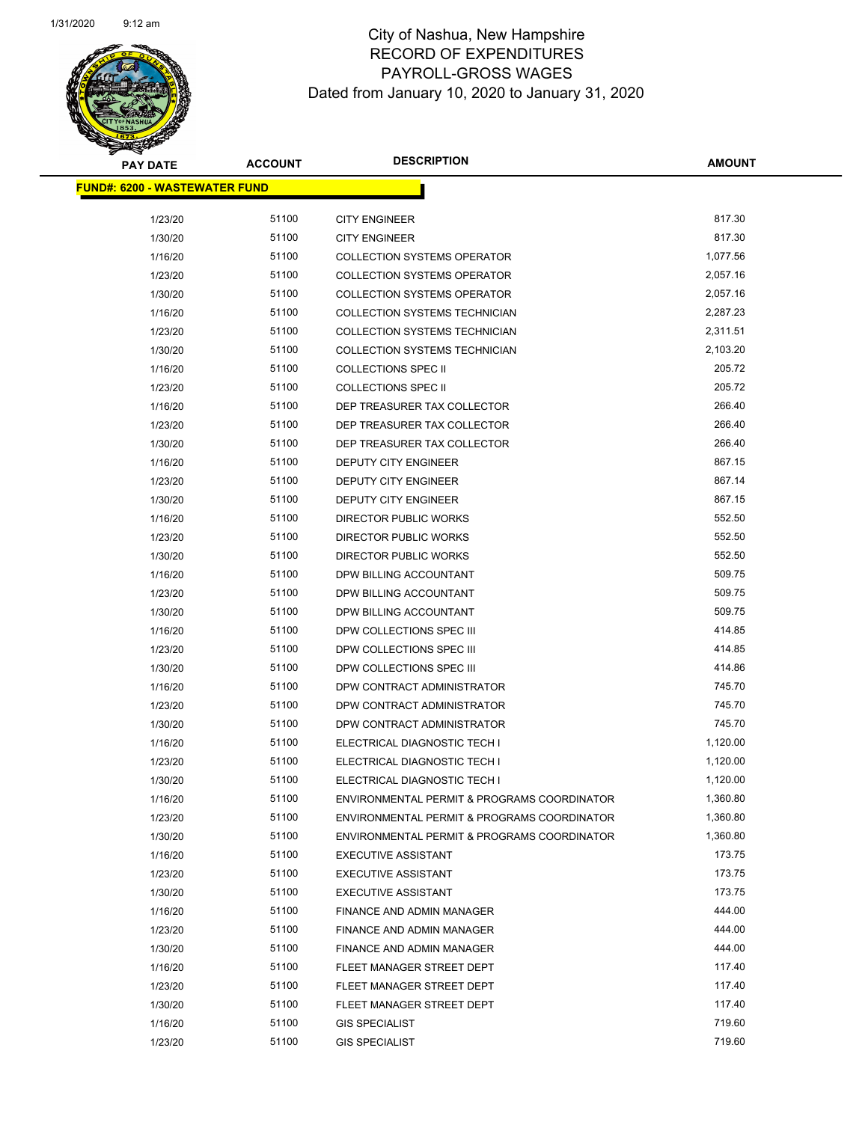| <b>PAY DATE</b>                      | <b>ACCOUNT</b> | <b>DESCRIPTION</b>                          | AMOUNT   |
|--------------------------------------|----------------|---------------------------------------------|----------|
| <b>FUND#: 6200 - WASTEWATER FUND</b> |                |                                             |          |
| 1/23/20                              | 51100          | <b>CITY ENGINEER</b>                        | 817.30   |
| 1/30/20                              | 51100          | <b>CITY ENGINEER</b>                        | 817.30   |
| 1/16/20                              | 51100          | <b>COLLECTION SYSTEMS OPERATOR</b>          | 1,077.56 |
| 1/23/20                              | 51100          | <b>COLLECTION SYSTEMS OPERATOR</b>          | 2,057.16 |
| 1/30/20                              | 51100          | <b>COLLECTION SYSTEMS OPERATOR</b>          | 2,057.16 |
| 1/16/20                              | 51100          | <b>COLLECTION SYSTEMS TECHNICIAN</b>        | 2,287.23 |
| 1/23/20                              | 51100          | COLLECTION SYSTEMS TECHNICIAN               | 2,311.51 |
| 1/30/20                              | 51100          | COLLECTION SYSTEMS TECHNICIAN               | 2,103.20 |
| 1/16/20                              | 51100          | <b>COLLECTIONS SPEC II</b>                  | 205.72   |
| 1/23/20                              | 51100          | <b>COLLECTIONS SPEC II</b>                  | 205.72   |
| 1/16/20                              | 51100          | DEP TREASURER TAX COLLECTOR                 | 266.40   |
| 1/23/20                              | 51100          | DEP TREASURER TAX COLLECTOR                 | 266.40   |
| 1/30/20                              | 51100          | DEP TREASURER TAX COLLECTOR                 | 266.40   |
| 1/16/20                              | 51100          | <b>DEPUTY CITY ENGINEER</b>                 | 867.15   |
| 1/23/20                              | 51100          | <b>DEPUTY CITY ENGINEER</b>                 | 867.14   |
| 1/30/20                              | 51100          | DEPUTY CITY ENGINEER                        | 867.15   |
| 1/16/20                              | 51100          | <b>DIRECTOR PUBLIC WORKS</b>                | 552.50   |
| 1/23/20                              | 51100          | <b>DIRECTOR PUBLIC WORKS</b>                | 552.50   |
| 1/30/20                              | 51100          | <b>DIRECTOR PUBLIC WORKS</b>                | 552.50   |
| 1/16/20                              | 51100          | DPW BILLING ACCOUNTANT                      | 509.75   |
| 1/23/20                              | 51100          | DPW BILLING ACCOUNTANT                      | 509.75   |
| 1/30/20                              | 51100          | DPW BILLING ACCOUNTANT                      | 509.75   |
| 1/16/20                              | 51100          | DPW COLLECTIONS SPEC III                    | 414.85   |
| 1/23/20                              | 51100          | DPW COLLECTIONS SPEC III                    | 414.85   |
| 1/30/20                              | 51100          | DPW COLLECTIONS SPEC III                    | 414.86   |
| 1/16/20                              | 51100          | DPW CONTRACT ADMINISTRATOR                  | 745.70   |
| 1/23/20                              | 51100          | DPW CONTRACT ADMINISTRATOR                  | 745.70   |
| 1/30/20                              | 51100          | DPW CONTRACT ADMINISTRATOR                  | 745.70   |
| 1/16/20                              | 51100          | ELECTRICAL DIAGNOSTIC TECH I                | 1,120.00 |
| 1/23/20                              | 51100          | ELECTRICAL DIAGNOSTIC TECH I                | 1,120.00 |
| 1/30/20                              | 51100          | ELECTRICAL DIAGNOSTIC TECH I                | 1,120.00 |
| 1/16/20                              | 51100          | ENVIRONMENTAL PERMIT & PROGRAMS COORDINATOR | 1,360.80 |
| 1/23/20                              | 51100          | ENVIRONMENTAL PERMIT & PROGRAMS COORDINATOR | 1,360.80 |
| 1/30/20                              | 51100          | ENVIRONMENTAL PERMIT & PROGRAMS COORDINATOR | 1,360.80 |
| 1/16/20                              | 51100          | <b>EXECUTIVE ASSISTANT</b>                  | 173.75   |
| 1/23/20                              | 51100          | <b>EXECUTIVE ASSISTANT</b>                  | 173.75   |
| 1/30/20                              | 51100          | <b>EXECUTIVE ASSISTANT</b>                  | 173.75   |
| 1/16/20                              | 51100          | FINANCE AND ADMIN MANAGER                   | 444.00   |
| 1/23/20                              | 51100          | FINANCE AND ADMIN MANAGER                   | 444.00   |
| 1/30/20                              | 51100          | FINANCE AND ADMIN MANAGER                   | 444.00   |
| 1/16/20                              | 51100          | FLEET MANAGER STREET DEPT                   | 117.40   |
| 1/23/20                              | 51100          | FLEET MANAGER STREET DEPT                   | 117.40   |
| 1/30/20                              | 51100          | FLEET MANAGER STREET DEPT                   | 117.40   |
| 1/16/20                              | 51100          | <b>GIS SPECIALIST</b>                       | 719.60   |
| 1/23/20                              | 51100          | <b>GIS SPECIALIST</b>                       | 719.60   |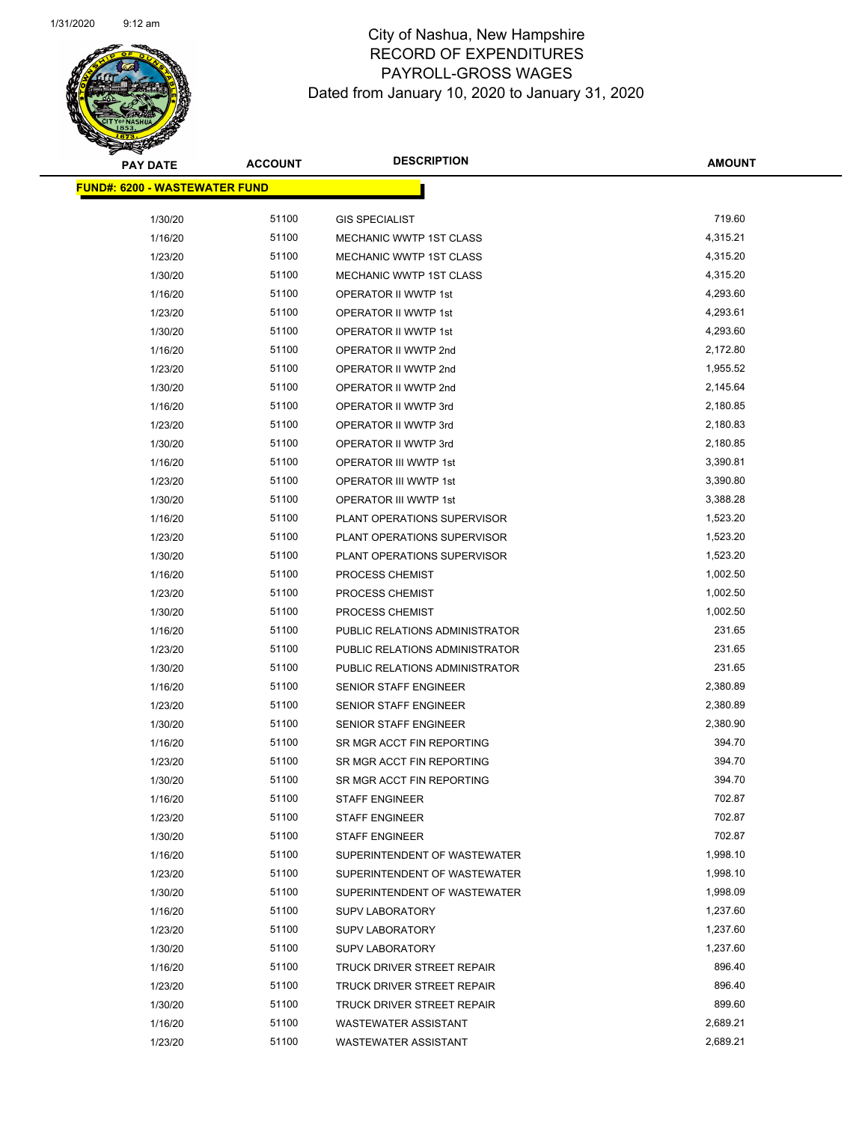| <b>PAY DATE</b>                       | <b>ACCOUNT</b> | <b>DESCRIPTION</b>             | <b>AMOUNT</b> |
|---------------------------------------|----------------|--------------------------------|---------------|
| <u> FUND#: 6200 - WASTEWATER FUND</u> |                |                                |               |
|                                       |                |                                |               |
| 1/30/20                               | 51100          | <b>GIS SPECIALIST</b>          | 719.60        |
| 1/16/20                               | 51100          | MECHANIC WWTP 1ST CLASS        | 4,315.21      |
| 1/23/20                               | 51100          | <b>MECHANIC WWTP 1ST CLASS</b> | 4,315.20      |
| 1/30/20                               | 51100          | MECHANIC WWTP 1ST CLASS        | 4,315.20      |
| 1/16/20                               | 51100          | OPERATOR II WWTP 1st           | 4,293.60      |
| 1/23/20                               | 51100          | OPERATOR II WWTP 1st           | 4,293.61      |
| 1/30/20                               | 51100          | <b>OPERATOR II WWTP 1st</b>    | 4,293.60      |
| 1/16/20                               | 51100          | OPERATOR II WWTP 2nd           | 2,172.80      |
| 1/23/20                               | 51100          | OPERATOR II WWTP 2nd           | 1,955.52      |
| 1/30/20                               | 51100          | OPERATOR II WWTP 2nd           | 2,145.64      |
| 1/16/20                               | 51100          | OPERATOR II WWTP 3rd           | 2,180.85      |
| 1/23/20                               | 51100          | OPERATOR II WWTP 3rd           | 2,180.83      |
| 1/30/20                               | 51100          | OPERATOR II WWTP 3rd           | 2,180.85      |
| 1/16/20                               | 51100          | OPERATOR III WWTP 1st          | 3,390.81      |
| 1/23/20                               | 51100          | OPERATOR III WWTP 1st          | 3,390.80      |
| 1/30/20                               | 51100          | OPERATOR III WWTP 1st          | 3,388.28      |
| 1/16/20                               | 51100          | PLANT OPERATIONS SUPERVISOR    | 1,523.20      |
| 1/23/20                               | 51100          | PLANT OPERATIONS SUPERVISOR    | 1,523.20      |
| 1/30/20                               | 51100          | PLANT OPERATIONS SUPERVISOR    | 1,523.20      |
| 1/16/20                               | 51100          | PROCESS CHEMIST                | 1,002.50      |
| 1/23/20                               | 51100          | PROCESS CHEMIST                | 1,002.50      |
| 1/30/20                               | 51100          | PROCESS CHEMIST                | 1,002.50      |
| 1/16/20                               | 51100          | PUBLIC RELATIONS ADMINISTRATOR | 231.65        |
| 1/23/20                               | 51100          | PUBLIC RELATIONS ADMINISTRATOR | 231.65        |
| 1/30/20                               | 51100          | PUBLIC RELATIONS ADMINISTRATOR | 231.65        |
| 1/16/20                               | 51100          | SENIOR STAFF ENGINEER          | 2,380.89      |
| 1/23/20                               | 51100          | SENIOR STAFF ENGINEER          | 2,380.89      |
| 1/30/20                               | 51100          | SENIOR STAFF ENGINEER          | 2,380.90      |
| 1/16/20                               | 51100          | SR MGR ACCT FIN REPORTING      | 394.70        |
| 1/23/20                               | 51100          | SR MGR ACCT FIN REPORTING      | 394.70        |
| 1/30/20                               | 51100          | SR MGR ACCT FIN REPORTING      | 394.70        |
| 1/16/20                               | 51100          | <b>STAFF ENGINEER</b>          | 702.87        |
| 1/23/20                               | 51100          | <b>STAFF ENGINEER</b>          | 702.87        |
| 1/30/20                               | 51100          | <b>STAFF ENGINEER</b>          | 702.87        |
| 1/16/20                               | 51100          | SUPERINTENDENT OF WASTEWATER   | 1,998.10      |
| 1/23/20                               | 51100          | SUPERINTENDENT OF WASTEWATER   | 1,998.10      |
| 1/30/20                               | 51100          | SUPERINTENDENT OF WASTEWATER   | 1,998.09      |
| 1/16/20                               | 51100          | <b>SUPV LABORATORY</b>         | 1,237.60      |
| 1/23/20                               | 51100          | <b>SUPV LABORATORY</b>         | 1,237.60      |
| 1/30/20                               | 51100          | <b>SUPV LABORATORY</b>         | 1,237.60      |
| 1/16/20                               | 51100          | TRUCK DRIVER STREET REPAIR     | 896.40        |
| 1/23/20                               | 51100          | TRUCK DRIVER STREET REPAIR     | 896.40        |
| 1/30/20                               | 51100          | TRUCK DRIVER STREET REPAIR     | 899.60        |
| 1/16/20                               | 51100          | <b>WASTEWATER ASSISTANT</b>    | 2,689.21      |
| 1/23/20                               | 51100          | <b>WASTEWATER ASSISTANT</b>    | 2,689.21      |
|                                       |                |                                |               |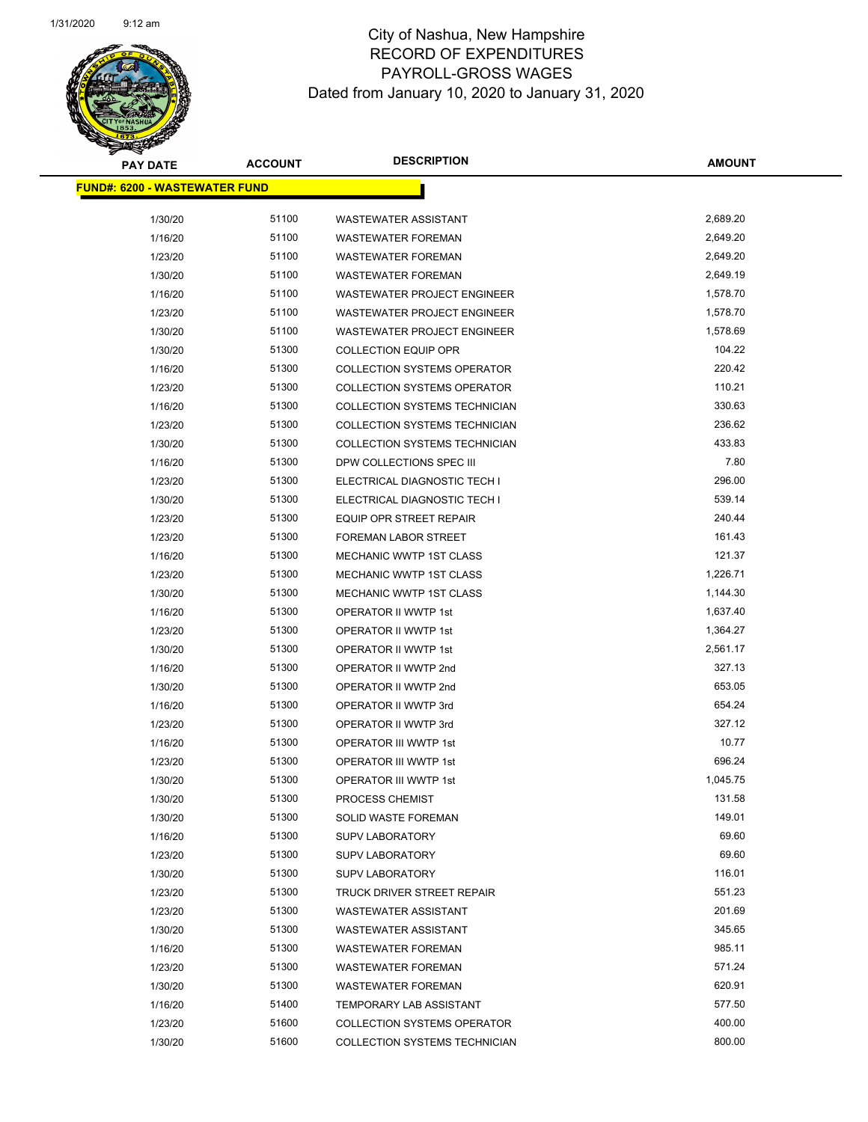

| <b>PAY DATE</b>                       | <b>ACCOUNT</b> | <b>DESCRIPTION</b>                   | <b>AMOUNT</b> |
|---------------------------------------|----------------|--------------------------------------|---------------|
| <u> FUND#: 6200 - WASTEWATER FUND</u> |                |                                      |               |
|                                       |                |                                      |               |
| 1/30/20                               | 51100          | <b>WASTEWATER ASSISTANT</b>          | 2,689.20      |
| 1/16/20                               | 51100          | <b>WASTEWATER FOREMAN</b>            | 2,649.20      |
| 1/23/20                               | 51100          | <b>WASTEWATER FOREMAN</b>            | 2,649.20      |
| 1/30/20                               | 51100          | <b>WASTEWATER FOREMAN</b>            | 2,649.19      |
| 1/16/20                               | 51100          | <b>WASTEWATER PROJECT ENGINEER</b>   | 1,578.70      |
| 1/23/20                               | 51100          | <b>WASTEWATER PROJECT ENGINEER</b>   | 1,578.70      |
| 1/30/20                               | 51100          | WASTEWATER PROJECT ENGINEER          | 1,578.69      |
| 1/30/20                               | 51300          | <b>COLLECTION EQUIP OPR</b>          | 104.22        |
| 1/16/20                               | 51300          | <b>COLLECTION SYSTEMS OPERATOR</b>   | 220.42        |
| 1/23/20                               | 51300          | <b>COLLECTION SYSTEMS OPERATOR</b>   | 110.21        |
| 1/16/20                               | 51300          | COLLECTION SYSTEMS TECHNICIAN        | 330.63        |
| 1/23/20                               | 51300          | COLLECTION SYSTEMS TECHNICIAN        | 236.62        |
| 1/30/20                               | 51300          | <b>COLLECTION SYSTEMS TECHNICIAN</b> | 433.83        |
| 1/16/20                               | 51300          | DPW COLLECTIONS SPEC III             | 7.80          |
| 1/23/20                               | 51300          | ELECTRICAL DIAGNOSTIC TECH I         | 296.00        |
| 1/30/20                               | 51300          | ELECTRICAL DIAGNOSTIC TECH I         | 539.14        |
| 1/23/20                               | 51300          | EQUIP OPR STREET REPAIR              | 240.44        |
| 1/23/20                               | 51300          | FOREMAN LABOR STREET                 | 161.43        |
| 1/16/20                               | 51300          | MECHANIC WWTP 1ST CLASS              | 121.37        |
| 1/23/20                               | 51300          | MECHANIC WWTP 1ST CLASS              | 1,226.71      |
| 1/30/20                               | 51300          | <b>MECHANIC WWTP 1ST CLASS</b>       | 1,144.30      |
| 1/16/20                               | 51300          | OPERATOR II WWTP 1st                 | 1,637.40      |
| 1/23/20                               | 51300          | OPERATOR II WWTP 1st                 | 1,364.27      |
| 1/30/20                               | 51300          | OPERATOR II WWTP 1st                 | 2,561.17      |
| 1/16/20                               | 51300          | OPERATOR II WWTP 2nd                 | 327.13        |
| 1/30/20                               | 51300          | OPERATOR II WWTP 2nd                 | 653.05        |
| 1/16/20                               | 51300          | OPERATOR II WWTP 3rd                 | 654.24        |
| 1/23/20                               | 51300          | OPERATOR II WWTP 3rd                 | 327.12        |
| 1/16/20                               | 51300          | OPERATOR III WWTP 1st                | 10.77         |
| 1/23/20                               | 51300          | <b>OPERATOR III WWTP 1st</b>         | 696.24        |
| 1/30/20                               | 51300          | OPERATOR III WWTP 1st                | 1,045.75      |
| 1/30/20                               | 51300          | PROCESS CHEMIST                      | 131.58        |
| 1/30/20                               | 51300          | SOLID WASTE FOREMAN                  | 149.01        |
| 1/16/20                               | 51300          | <b>SUPV LABORATORY</b>               | 69.60         |
| 1/23/20                               | 51300          | <b>SUPV LABORATORY</b>               | 69.60         |
| 1/30/20                               | 51300          | <b>SUPV LABORATORY</b>               | 116.01        |
| 1/23/20                               | 51300          | TRUCK DRIVER STREET REPAIR           | 551.23        |
| 1/23/20                               | 51300          | <b>WASTEWATER ASSISTANT</b>          | 201.69        |
| 1/30/20                               | 51300          | <b>WASTEWATER ASSISTANT</b>          | 345.65        |
| 1/16/20                               | 51300          | <b>WASTEWATER FOREMAN</b>            | 985.11        |
| 1/23/20                               | 51300          | <b>WASTEWATER FOREMAN</b>            | 571.24        |
| 1/30/20                               | 51300          | <b>WASTEWATER FOREMAN</b>            | 620.91        |
| 1/16/20                               | 51400          | <b>TEMPORARY LAB ASSISTANT</b>       | 577.50        |
| 1/23/20                               | 51600          | <b>COLLECTION SYSTEMS OPERATOR</b>   | 400.00        |
| 1/30/20                               | 51600          | COLLECTION SYSTEMS TECHNICIAN        | 800.00        |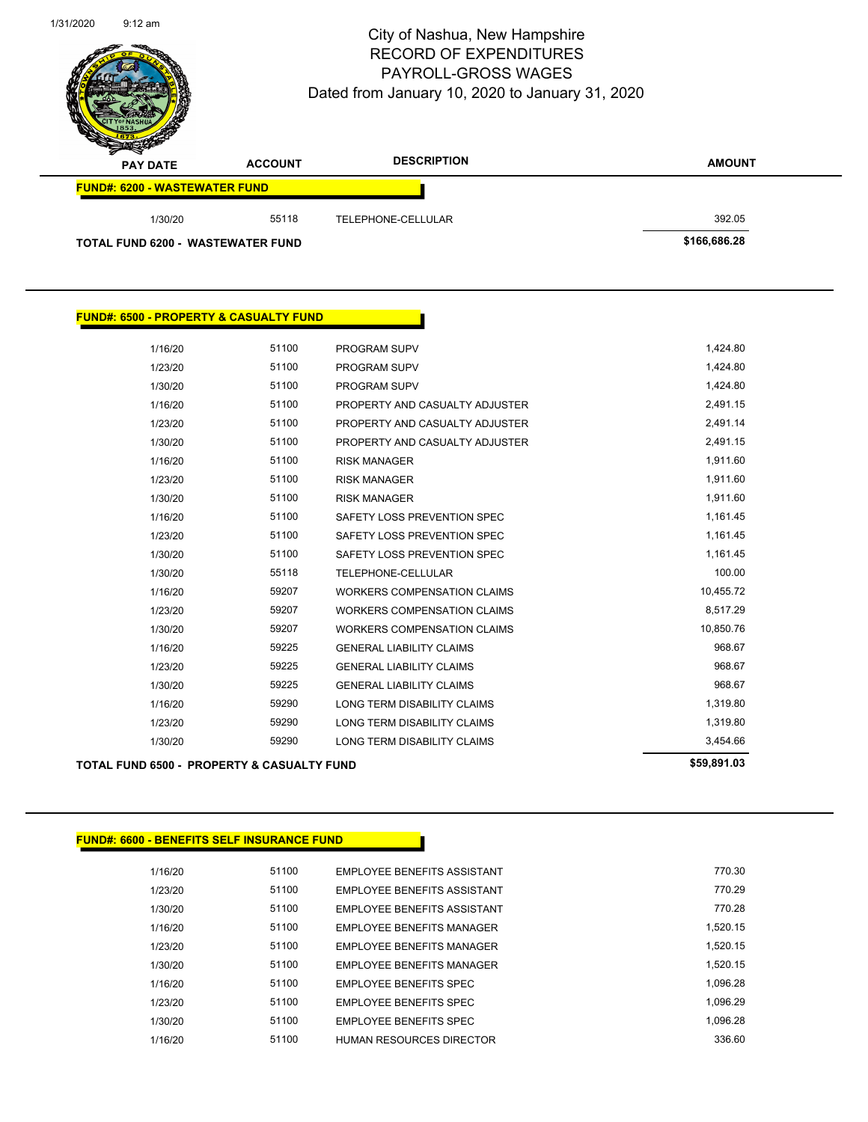Page 155 of 156

| $\overline{\phantom{a}}$<br><b>PAY DATE</b> | <b>ACCOUNT</b> | <b>DESCRIPTION</b> | <b>AMOUNT</b> |
|---------------------------------------------|----------------|--------------------|---------------|
| <b>FUND#: 6200 - WASTEWATER FUND</b>        |                |                    |               |
| 1/30/20                                     | 55118          | TELEPHONE-CELLULAR | 392.05        |
| <b>TOTAL FUND 6200 - WASTEWATER FUND</b>    |                |                    | \$166,686.28  |

| <b>FUND#: 6500 - PROPERTY &amp; CASUALTY FUND</b>     |       |                                    |             |
|-------------------------------------------------------|-------|------------------------------------|-------------|
|                                                       |       |                                    |             |
| 1/16/20                                               | 51100 | <b>PROGRAM SUPV</b>                | 1,424.80    |
| 1/23/20                                               | 51100 | <b>PROGRAM SUPV</b>                | 1,424.80    |
| 1/30/20                                               | 51100 | <b>PROGRAM SUPV</b>                | 1,424.80    |
| 1/16/20                                               | 51100 | PROPERTY AND CASUALTY ADJUSTER     | 2,491.15    |
| 1/23/20                                               | 51100 | PROPERTY AND CASUALTY ADJUSTER     | 2,491.14    |
| 1/30/20                                               | 51100 | PROPERTY AND CASUALTY ADJUSTER     | 2,491.15    |
| 1/16/20                                               | 51100 | <b>RISK MANAGER</b>                | 1,911.60    |
| 1/23/20                                               | 51100 | <b>RISK MANAGER</b>                | 1,911.60    |
| 1/30/20                                               | 51100 | <b>RISK MANAGER</b>                | 1,911.60    |
| 1/16/20                                               | 51100 | SAFETY LOSS PREVENTION SPEC        | 1,161.45    |
| 1/23/20                                               | 51100 | SAFETY LOSS PREVENTION SPEC        | 1,161.45    |
| 1/30/20                                               | 51100 | SAFETY LOSS PREVENTION SPEC        | 1,161.45    |
| 1/30/20                                               | 55118 | TELEPHONE-CELLULAR                 | 100.00      |
| 1/16/20                                               | 59207 | <b>WORKERS COMPENSATION CLAIMS</b> | 10,455.72   |
| 1/23/20                                               | 59207 | <b>WORKERS COMPENSATION CLAIMS</b> | 8,517.29    |
| 1/30/20                                               | 59207 | <b>WORKERS COMPENSATION CLAIMS</b> | 10,850.76   |
| 1/16/20                                               | 59225 | <b>GENERAL LIABILITY CLAIMS</b>    | 968.67      |
| 1/23/20                                               | 59225 | <b>GENERAL LIABILITY CLAIMS</b>    | 968.67      |
| 1/30/20                                               | 59225 | <b>GENERAL LIABILITY CLAIMS</b>    | 968.67      |
| 1/16/20                                               | 59290 | <b>LONG TERM DISABILITY CLAIMS</b> | 1,319.80    |
| 1/23/20                                               | 59290 | <b>LONG TERM DISABILITY CLAIMS</b> | 1,319.80    |
| 1/30/20                                               | 59290 | LONG TERM DISABILITY CLAIMS        | 3,454.66    |
| <b>TOTAL FUND 6500 - PROPERTY &amp; CASUALTY FUND</b> |       |                                    | \$59,891.03 |

## **FUND#: 6600 - BENEFITS SELF INSURANCE FUND**

| 1/16/20 | 51100 | EMPLOYEE BENEFITS ASSISTANT        | 770.30   |
|---------|-------|------------------------------------|----------|
| 1/23/20 | 51100 | <b>FMPLOYEE BENEEITS ASSISTANT</b> | 770.29   |
| 1/30/20 | 51100 | <b>FMPLOYEE BENEEITS ASSISTANT</b> | 770.28   |
| 1/16/20 | 51100 | <b>EMPLOYEE BENEEITS MANAGER</b>   | 1.520.15 |
| 1/23/20 | 51100 | EMPLOYEE BENEFITS MANAGER          | 1.520.15 |
| 1/30/20 | 51100 | <b>EMPLOYEE BENEEITS MANAGER</b>   | 1.520.15 |
| 1/16/20 | 51100 | <b>EMPLOYEE BENEEITS SPEC</b>      | 1.096.28 |
| 1/23/20 | 51100 | <b>EMPLOYEE BENEFITS SPEC</b>      | 1.096.29 |
| 1/30/20 | 51100 | <b>EMPLOYEE BENEEITS SPEC</b>      | 1.096.28 |
| 1/16/20 | 51100 | HUMAN RESOURCES DIRECTOR           | 336.60   |